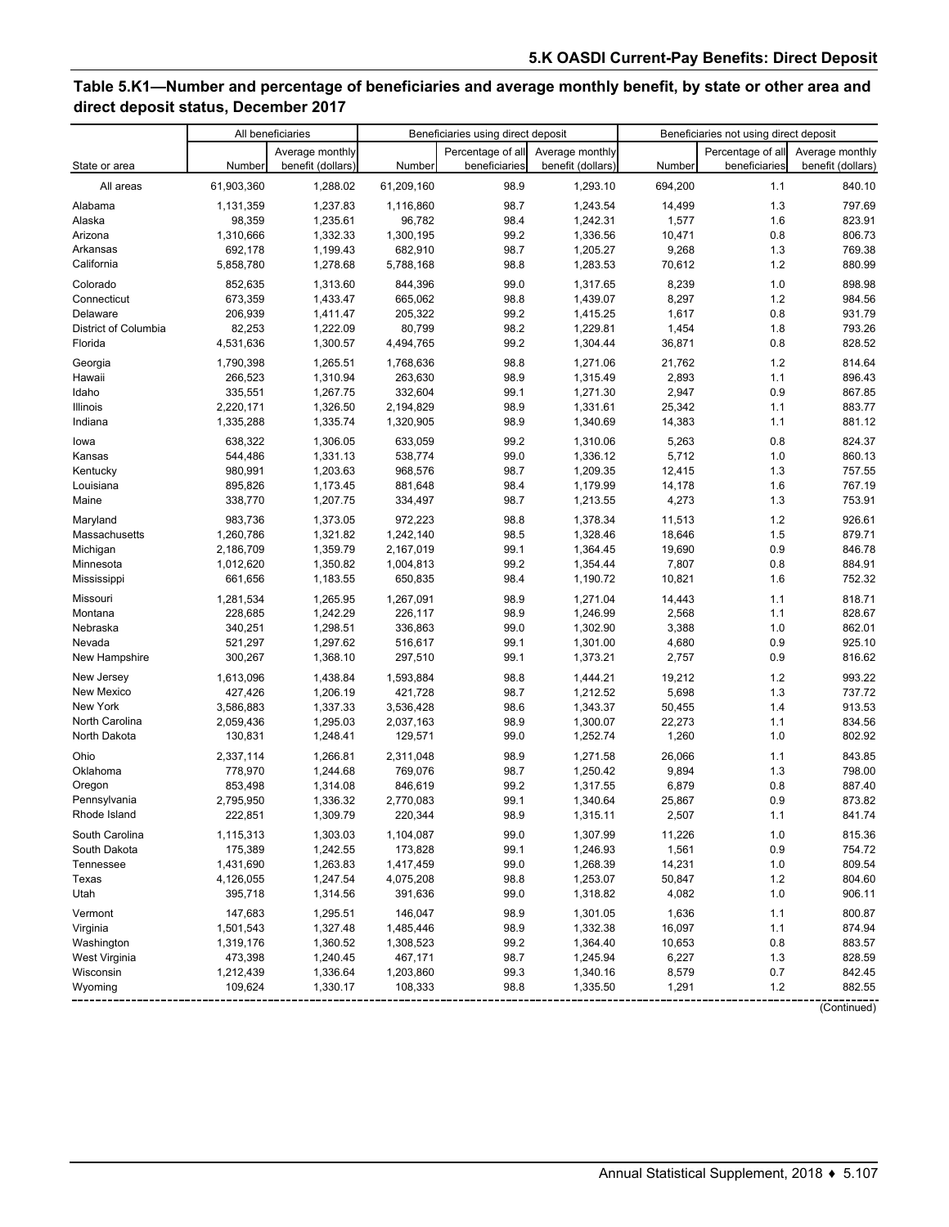## **Table 5.K1—Number and percentage of beneficiaries and average monthly benefit, by state or other area and direct deposit status, December 2017**

| Percentage of all<br>Percentage of all<br>Average monthly<br>Average monthly<br>Average monthly<br>benefit (dollars)<br>Number<br>Number<br>Number<br>beneficiaries<br>benefit (dollars)<br>beneficiaries<br>benefit (dollars)<br>State or area<br>61,903,360<br>1,288.02<br>61,209,160<br>98.9<br>1,293.10<br>694,200<br>1.1<br>840.10<br>All areas<br>98.7<br>1.3<br>1,237.83<br>797.69<br>Alabama<br>1,131,359<br>1,116,860<br>1,243.54<br>14,499<br>1,235.61<br>98.4<br>1,242.31<br>1.6<br>823.91<br>Alaska<br>98,359<br>96,782<br>1,577<br>Arizona<br>1,332.33<br>99.2<br>1,336.56<br>10,471<br>0.8<br>806.73<br>1,310,666<br>1,300,195<br>Arkansas<br>1,199.43<br>98.7<br>1,205.27<br>9,268<br>1.3<br>769.38<br>692,178<br>682,910<br>98.8<br>1.2<br>California<br>5,858,780<br>1,278.68<br>5,788,168<br>1,283.53<br>70,612<br>880.99<br>Colorado<br>99.0<br>8,239<br>1.0<br>898.98<br>852,635<br>1,313.60<br>844,396<br>1,317.65<br>98.8<br>1.2<br>Connecticut<br>673,359<br>8,297<br>984.56<br>1,433.47<br>665,062<br>1,439.07<br>206,939<br>1,411.47<br>99.2<br>1,415.25<br>1,617<br>0.8<br>931.79<br>Delaware<br>205,322<br>82,253<br>80,799<br>98.2<br>1,229.81<br>1,454<br>1.8<br>793.26<br>District of Columbia<br>1.222.09<br>4,531,636<br>99.2<br>1,304.44<br>36,871<br>0.8<br>828.52<br>Florida<br>1,300.57<br>4,494,765<br>1.2<br>Georgia<br>1,790,398<br>98.8<br>21,762<br>814.64<br>1,265.51<br>1,768,636<br>1,271.06<br>1,310.94<br>98.9<br>2,893<br>1.1<br>896.43<br>Hawaii<br>266,523<br>263,630<br>1,315.49<br>99.1<br>2,947<br>0.9<br>867.85<br>Idaho<br>335,551<br>1,267.75<br>332,604<br>1,271.30<br>Illinois<br>2,220,171<br>1,326.50<br>98.9<br>1,331.61<br>25,342<br>1.1<br>883.77<br>2,194,829<br>Indiana<br>1,335.74<br>98.9<br>14,383<br>1.1<br>881.12<br>1,335,288<br>1,320,905<br>1,340.69<br>99.2<br>5,263<br>0.8<br>824.37<br>638,322<br>1,306.05<br>633,059<br>1,310.06<br>lowa<br>1,331.13<br>538,774<br>99.0<br>1,336.12<br>5,712<br>1.0<br>860.13<br>Kansas<br>544,486<br>1.3<br>Kentucky<br>980,991<br>1,203.63<br>968,576<br>98.7<br>12,415<br>757.55<br>1,209.35<br>895,826<br>98.4<br>1.6<br>767.19<br>Louisiana<br>1,173.45<br>881,648<br>1,179.99<br>14,178<br>1,207.75<br>98.7<br>4,273<br>1.3<br>753.91<br>Maine<br>338,770<br>334,497<br>1,213.55<br>1.2<br>98.8<br>11,513<br>926.61<br>Maryland<br>983,736<br>1,373.05<br>972,223<br>1,378.34<br>Massachusetts<br>1,321.82<br>1,242,140<br>98.5<br>1,328.46<br>18,646<br>1.5<br>879.71<br>1,260,786<br>846.78<br>1,359.79<br>99.1<br>19,690<br>0.9<br>Michigan<br>2,186,709<br>2,167,019<br>1,364.45<br>1,350.82<br>99.2<br>1,354.44<br>7,807<br>0.8<br>884.91<br>Minnesota<br>1,012,620<br>1,004,813<br>1,183.55<br>98.4<br>10,821<br>1.6<br>752.32<br>Mississippi<br>661,656<br>650,835<br>1,190.72<br>1.1<br>1,281,534<br>1,267,091<br>98.9<br>818.71<br>Missouri<br>1,265.95<br>1,271.04<br>14,443<br>228,685<br>1,242.29<br>226,117<br>98.9<br>2,568<br>1.1<br>828.67<br>Montana<br>1,246.99<br>340,251<br>1,298.51<br>99.0<br>1,302.90<br>3,388<br>1.0<br>862.01<br>Nebraska<br>336,863<br>Nevada<br>99.1<br>0.9<br>925.10<br>521,297<br>1,297.62<br>516,617<br>1,301.00<br>4,680<br>99.1<br>0.9<br>816.62<br>New Hampshire<br>300,267<br>1,368.10<br>297,510<br>1,373.21<br>2,757<br>1.2<br>1,438.84<br>98.8<br>19,212<br>993.22<br>New Jersey<br>1,613,096<br>1,593,884<br>1,444.21<br>1.3<br>98.7<br>5,698<br>737.72<br>New Mexico<br>427,426<br>1,206.19<br>421,728<br>1,212.52<br>New York<br>3,586,883<br>1,337.33<br>98.6<br>1.4<br>913.53<br>3,536,428<br>1,343.37<br>50,455<br>1,295.03<br>98.9<br>1,300.07<br>22,273<br>1.1<br>834.56<br>North Carolina<br>2,059,436<br>2,037,163<br>1.0<br>99.0<br>1,260<br>802.92<br>North Dakota<br>130,831<br>1,248.41<br>129,571<br>1,252.74<br>98.9<br>1.1<br>843.85<br>Ohio<br>2,337,114<br>1,266.81<br>2,311,048<br>1,271.58<br>26,066<br>Oklahoma<br>98.7<br>9,894<br>1.3<br>798.00<br>778,970<br>1,244.68<br>769,076<br>1,250.42<br>99.2<br>0.8<br>887.40<br>Oregon<br>853,498<br>1,314.08<br>846,619<br>1,317.55<br>6,879<br>2,795,950<br>1,336.32<br>2,770,083<br>99.1<br>25,867<br>0.9<br>873.82<br>1,340.64<br>Pennsylvania<br>98.9<br>841.74<br>Rhode Island<br>222,851<br>1,309.79<br>220.344<br>1,315.11<br>2,507<br>1.1<br>South Carolina<br>99.0<br>11,226<br>1.0<br>815.36<br>1,115,313<br>1,303.03<br>1,104,087<br>1,307.99<br>99.1<br>1,561<br>0.9<br>754.72<br>South Dakota<br>175,389<br>1,242.55<br>173,828<br>1,246.93<br>14,231<br>1.0<br>Tennessee<br>1,431,690<br>1,263.83<br>1,417,459<br>99.0<br>1,268.39<br>809.54<br>Texas<br>1,247.54<br>1,253.07<br>50,847<br>1.2<br>804.60<br>4,126,055<br>4,075,208<br>98.8<br>99.0<br>$1.0$<br>395,718<br>1,314.56<br>391,636<br>1,318.82<br>4,082<br>906.11<br>Utah<br>146,047<br>98.9<br>1.1<br>800.87<br>Vermont<br>147,683<br>1,295.51<br>1,301.05<br>1,636<br>98.9<br>16,097<br>1.1<br>874.94<br>Virginia<br>1,501,543<br>1,327.48<br>1,485,446<br>1,332.38<br>Washington<br>1,319,176<br>1,360.52<br>1,308,523<br>99.2<br>1,364.40<br>10,653<br>0.8<br>883.57<br>West Virginia<br>6,227<br>1.3<br>473,398<br>1,240.45<br>467,171<br>98.7<br>1,245.94<br>828.59<br>99.3<br>8,579<br>0.7<br>842.45<br>Wisconsin<br>1,212,439<br>1,336.64<br>1,203,860<br>1,340.16<br>98.8<br>1.2<br>Wyoming<br>109,624<br>1,330.17<br>108,333<br>1,335.50<br>1,291<br>882.55 | All beneficiaries |  | Beneficiaries using direct deposit |  |  | Beneficiaries not using direct deposit |  |             |
|------------------------------------------------------------------------------------------------------------------------------------------------------------------------------------------------------------------------------------------------------------------------------------------------------------------------------------------------------------------------------------------------------------------------------------------------------------------------------------------------------------------------------------------------------------------------------------------------------------------------------------------------------------------------------------------------------------------------------------------------------------------------------------------------------------------------------------------------------------------------------------------------------------------------------------------------------------------------------------------------------------------------------------------------------------------------------------------------------------------------------------------------------------------------------------------------------------------------------------------------------------------------------------------------------------------------------------------------------------------------------------------------------------------------------------------------------------------------------------------------------------------------------------------------------------------------------------------------------------------------------------------------------------------------------------------------------------------------------------------------------------------------------------------------------------------------------------------------------------------------------------------------------------------------------------------------------------------------------------------------------------------------------------------------------------------------------------------------------------------------------------------------------------------------------------------------------------------------------------------------------------------------------------------------------------------------------------------------------------------------------------------------------------------------------------------------------------------------------------------------------------------------------------------------------------------------------------------------------------------------------------------------------------------------------------------------------------------------------------------------------------------------------------------------------------------------------------------------------------------------------------------------------------------------------------------------------------------------------------------------------------------------------------------------------------------------------------------------------------------------------------------------------------------------------------------------------------------------------------------------------------------------------------------------------------------------------------------------------------------------------------------------------------------------------------------------------------------------------------------------------------------------------------------------------------------------------------------------------------------------------------------------------------------------------------------------------------------------------------------------------------------------------------------------------------------------------------------------------------------------------------------------------------------------------------------------------------------------------------------------------------------------------------------------------------------------------------------------------------------------------------------------------------------------------------------------------------------------------------------------------------------------------------------------------------------------------------------------------------------------------------------------------------------------------------------------------------------------------------------------------------------------------------------------------------------------------------------------------------------------------------------------------------------------------------------------------------------------------------------------------------------------------------------------------------------------------------------------------------------------------------------------------------------------------------------------------------------------------------------------------------------------------------------------------------------------------------------------------------------------------------------------------------------------------------------------------------------------------------------------------------------------------------------------------------------------------------------------------------------------------------------|-------------------|--|------------------------------------|--|--|----------------------------------------|--|-------------|
|                                                                                                                                                                                                                                                                                                                                                                                                                                                                                                                                                                                                                                                                                                                                                                                                                                                                                                                                                                                                                                                                                                                                                                                                                                                                                                                                                                                                                                                                                                                                                                                                                                                                                                                                                                                                                                                                                                                                                                                                                                                                                                                                                                                                                                                                                                                                                                                                                                                                                                                                                                                                                                                                                                                                                                                                                                                                                                                                                                                                                                                                                                                                                                                                                                                                                                                                                                                                                                                                                                                                                                                                                                                                                                                                                                                                                                                                                                                                                                                                                                                                                                                                                                                                                                                                                                                                                                                                                                                                                                                                                                                                                                                                                                                                                                                                                                                                                                                                                                                                                                                                                                                                                                                                                                                                                                                                                                                          |                   |  |                                    |  |  |                                        |  |             |
|                                                                                                                                                                                                                                                                                                                                                                                                                                                                                                                                                                                                                                                                                                                                                                                                                                                                                                                                                                                                                                                                                                                                                                                                                                                                                                                                                                                                                                                                                                                                                                                                                                                                                                                                                                                                                                                                                                                                                                                                                                                                                                                                                                                                                                                                                                                                                                                                                                                                                                                                                                                                                                                                                                                                                                                                                                                                                                                                                                                                                                                                                                                                                                                                                                                                                                                                                                                                                                                                                                                                                                                                                                                                                                                                                                                                                                                                                                                                                                                                                                                                                                                                                                                                                                                                                                                                                                                                                                                                                                                                                                                                                                                                                                                                                                                                                                                                                                                                                                                                                                                                                                                                                                                                                                                                                                                                                                                          |                   |  |                                    |  |  |                                        |  |             |
|                                                                                                                                                                                                                                                                                                                                                                                                                                                                                                                                                                                                                                                                                                                                                                                                                                                                                                                                                                                                                                                                                                                                                                                                                                                                                                                                                                                                                                                                                                                                                                                                                                                                                                                                                                                                                                                                                                                                                                                                                                                                                                                                                                                                                                                                                                                                                                                                                                                                                                                                                                                                                                                                                                                                                                                                                                                                                                                                                                                                                                                                                                                                                                                                                                                                                                                                                                                                                                                                                                                                                                                                                                                                                                                                                                                                                                                                                                                                                                                                                                                                                                                                                                                                                                                                                                                                                                                                                                                                                                                                                                                                                                                                                                                                                                                                                                                                                                                                                                                                                                                                                                                                                                                                                                                                                                                                                                                          |                   |  |                                    |  |  |                                        |  |             |
|                                                                                                                                                                                                                                                                                                                                                                                                                                                                                                                                                                                                                                                                                                                                                                                                                                                                                                                                                                                                                                                                                                                                                                                                                                                                                                                                                                                                                                                                                                                                                                                                                                                                                                                                                                                                                                                                                                                                                                                                                                                                                                                                                                                                                                                                                                                                                                                                                                                                                                                                                                                                                                                                                                                                                                                                                                                                                                                                                                                                                                                                                                                                                                                                                                                                                                                                                                                                                                                                                                                                                                                                                                                                                                                                                                                                                                                                                                                                                                                                                                                                                                                                                                                                                                                                                                                                                                                                                                                                                                                                                                                                                                                                                                                                                                                                                                                                                                                                                                                                                                                                                                                                                                                                                                                                                                                                                                                          |                   |  |                                    |  |  |                                        |  |             |
|                                                                                                                                                                                                                                                                                                                                                                                                                                                                                                                                                                                                                                                                                                                                                                                                                                                                                                                                                                                                                                                                                                                                                                                                                                                                                                                                                                                                                                                                                                                                                                                                                                                                                                                                                                                                                                                                                                                                                                                                                                                                                                                                                                                                                                                                                                                                                                                                                                                                                                                                                                                                                                                                                                                                                                                                                                                                                                                                                                                                                                                                                                                                                                                                                                                                                                                                                                                                                                                                                                                                                                                                                                                                                                                                                                                                                                                                                                                                                                                                                                                                                                                                                                                                                                                                                                                                                                                                                                                                                                                                                                                                                                                                                                                                                                                                                                                                                                                                                                                                                                                                                                                                                                                                                                                                                                                                                                                          |                   |  |                                    |  |  |                                        |  |             |
|                                                                                                                                                                                                                                                                                                                                                                                                                                                                                                                                                                                                                                                                                                                                                                                                                                                                                                                                                                                                                                                                                                                                                                                                                                                                                                                                                                                                                                                                                                                                                                                                                                                                                                                                                                                                                                                                                                                                                                                                                                                                                                                                                                                                                                                                                                                                                                                                                                                                                                                                                                                                                                                                                                                                                                                                                                                                                                                                                                                                                                                                                                                                                                                                                                                                                                                                                                                                                                                                                                                                                                                                                                                                                                                                                                                                                                                                                                                                                                                                                                                                                                                                                                                                                                                                                                                                                                                                                                                                                                                                                                                                                                                                                                                                                                                                                                                                                                                                                                                                                                                                                                                                                                                                                                                                                                                                                                                          |                   |  |                                    |  |  |                                        |  |             |
|                                                                                                                                                                                                                                                                                                                                                                                                                                                                                                                                                                                                                                                                                                                                                                                                                                                                                                                                                                                                                                                                                                                                                                                                                                                                                                                                                                                                                                                                                                                                                                                                                                                                                                                                                                                                                                                                                                                                                                                                                                                                                                                                                                                                                                                                                                                                                                                                                                                                                                                                                                                                                                                                                                                                                                                                                                                                                                                                                                                                                                                                                                                                                                                                                                                                                                                                                                                                                                                                                                                                                                                                                                                                                                                                                                                                                                                                                                                                                                                                                                                                                                                                                                                                                                                                                                                                                                                                                                                                                                                                                                                                                                                                                                                                                                                                                                                                                                                                                                                                                                                                                                                                                                                                                                                                                                                                                                                          |                   |  |                                    |  |  |                                        |  |             |
|                                                                                                                                                                                                                                                                                                                                                                                                                                                                                                                                                                                                                                                                                                                                                                                                                                                                                                                                                                                                                                                                                                                                                                                                                                                                                                                                                                                                                                                                                                                                                                                                                                                                                                                                                                                                                                                                                                                                                                                                                                                                                                                                                                                                                                                                                                                                                                                                                                                                                                                                                                                                                                                                                                                                                                                                                                                                                                                                                                                                                                                                                                                                                                                                                                                                                                                                                                                                                                                                                                                                                                                                                                                                                                                                                                                                                                                                                                                                                                                                                                                                                                                                                                                                                                                                                                                                                                                                                                                                                                                                                                                                                                                                                                                                                                                                                                                                                                                                                                                                                                                                                                                                                                                                                                                                                                                                                                                          |                   |  |                                    |  |  |                                        |  |             |
|                                                                                                                                                                                                                                                                                                                                                                                                                                                                                                                                                                                                                                                                                                                                                                                                                                                                                                                                                                                                                                                                                                                                                                                                                                                                                                                                                                                                                                                                                                                                                                                                                                                                                                                                                                                                                                                                                                                                                                                                                                                                                                                                                                                                                                                                                                                                                                                                                                                                                                                                                                                                                                                                                                                                                                                                                                                                                                                                                                                                                                                                                                                                                                                                                                                                                                                                                                                                                                                                                                                                                                                                                                                                                                                                                                                                                                                                                                                                                                                                                                                                                                                                                                                                                                                                                                                                                                                                                                                                                                                                                                                                                                                                                                                                                                                                                                                                                                                                                                                                                                                                                                                                                                                                                                                                                                                                                                                          |                   |  |                                    |  |  |                                        |  |             |
|                                                                                                                                                                                                                                                                                                                                                                                                                                                                                                                                                                                                                                                                                                                                                                                                                                                                                                                                                                                                                                                                                                                                                                                                                                                                                                                                                                                                                                                                                                                                                                                                                                                                                                                                                                                                                                                                                                                                                                                                                                                                                                                                                                                                                                                                                                                                                                                                                                                                                                                                                                                                                                                                                                                                                                                                                                                                                                                                                                                                                                                                                                                                                                                                                                                                                                                                                                                                                                                                                                                                                                                                                                                                                                                                                                                                                                                                                                                                                                                                                                                                                                                                                                                                                                                                                                                                                                                                                                                                                                                                                                                                                                                                                                                                                                                                                                                                                                                                                                                                                                                                                                                                                                                                                                                                                                                                                                                          |                   |  |                                    |  |  |                                        |  |             |
|                                                                                                                                                                                                                                                                                                                                                                                                                                                                                                                                                                                                                                                                                                                                                                                                                                                                                                                                                                                                                                                                                                                                                                                                                                                                                                                                                                                                                                                                                                                                                                                                                                                                                                                                                                                                                                                                                                                                                                                                                                                                                                                                                                                                                                                                                                                                                                                                                                                                                                                                                                                                                                                                                                                                                                                                                                                                                                                                                                                                                                                                                                                                                                                                                                                                                                                                                                                                                                                                                                                                                                                                                                                                                                                                                                                                                                                                                                                                                                                                                                                                                                                                                                                                                                                                                                                                                                                                                                                                                                                                                                                                                                                                                                                                                                                                                                                                                                                                                                                                                                                                                                                                                                                                                                                                                                                                                                                          |                   |  |                                    |  |  |                                        |  |             |
|                                                                                                                                                                                                                                                                                                                                                                                                                                                                                                                                                                                                                                                                                                                                                                                                                                                                                                                                                                                                                                                                                                                                                                                                                                                                                                                                                                                                                                                                                                                                                                                                                                                                                                                                                                                                                                                                                                                                                                                                                                                                                                                                                                                                                                                                                                                                                                                                                                                                                                                                                                                                                                                                                                                                                                                                                                                                                                                                                                                                                                                                                                                                                                                                                                                                                                                                                                                                                                                                                                                                                                                                                                                                                                                                                                                                                                                                                                                                                                                                                                                                                                                                                                                                                                                                                                                                                                                                                                                                                                                                                                                                                                                                                                                                                                                                                                                                                                                                                                                                                                                                                                                                                                                                                                                                                                                                                                                          |                   |  |                                    |  |  |                                        |  |             |
|                                                                                                                                                                                                                                                                                                                                                                                                                                                                                                                                                                                                                                                                                                                                                                                                                                                                                                                                                                                                                                                                                                                                                                                                                                                                                                                                                                                                                                                                                                                                                                                                                                                                                                                                                                                                                                                                                                                                                                                                                                                                                                                                                                                                                                                                                                                                                                                                                                                                                                                                                                                                                                                                                                                                                                                                                                                                                                                                                                                                                                                                                                                                                                                                                                                                                                                                                                                                                                                                                                                                                                                                                                                                                                                                                                                                                                                                                                                                                                                                                                                                                                                                                                                                                                                                                                                                                                                                                                                                                                                                                                                                                                                                                                                                                                                                                                                                                                                                                                                                                                                                                                                                                                                                                                                                                                                                                                                          |                   |  |                                    |  |  |                                        |  |             |
|                                                                                                                                                                                                                                                                                                                                                                                                                                                                                                                                                                                                                                                                                                                                                                                                                                                                                                                                                                                                                                                                                                                                                                                                                                                                                                                                                                                                                                                                                                                                                                                                                                                                                                                                                                                                                                                                                                                                                                                                                                                                                                                                                                                                                                                                                                                                                                                                                                                                                                                                                                                                                                                                                                                                                                                                                                                                                                                                                                                                                                                                                                                                                                                                                                                                                                                                                                                                                                                                                                                                                                                                                                                                                                                                                                                                                                                                                                                                                                                                                                                                                                                                                                                                                                                                                                                                                                                                                                                                                                                                                                                                                                                                                                                                                                                                                                                                                                                                                                                                                                                                                                                                                                                                                                                                                                                                                                                          |                   |  |                                    |  |  |                                        |  |             |
|                                                                                                                                                                                                                                                                                                                                                                                                                                                                                                                                                                                                                                                                                                                                                                                                                                                                                                                                                                                                                                                                                                                                                                                                                                                                                                                                                                                                                                                                                                                                                                                                                                                                                                                                                                                                                                                                                                                                                                                                                                                                                                                                                                                                                                                                                                                                                                                                                                                                                                                                                                                                                                                                                                                                                                                                                                                                                                                                                                                                                                                                                                                                                                                                                                                                                                                                                                                                                                                                                                                                                                                                                                                                                                                                                                                                                                                                                                                                                                                                                                                                                                                                                                                                                                                                                                                                                                                                                                                                                                                                                                                                                                                                                                                                                                                                                                                                                                                                                                                                                                                                                                                                                                                                                                                                                                                                                                                          |                   |  |                                    |  |  |                                        |  |             |
|                                                                                                                                                                                                                                                                                                                                                                                                                                                                                                                                                                                                                                                                                                                                                                                                                                                                                                                                                                                                                                                                                                                                                                                                                                                                                                                                                                                                                                                                                                                                                                                                                                                                                                                                                                                                                                                                                                                                                                                                                                                                                                                                                                                                                                                                                                                                                                                                                                                                                                                                                                                                                                                                                                                                                                                                                                                                                                                                                                                                                                                                                                                                                                                                                                                                                                                                                                                                                                                                                                                                                                                                                                                                                                                                                                                                                                                                                                                                                                                                                                                                                                                                                                                                                                                                                                                                                                                                                                                                                                                                                                                                                                                                                                                                                                                                                                                                                                                                                                                                                                                                                                                                                                                                                                                                                                                                                                                          |                   |  |                                    |  |  |                                        |  |             |
|                                                                                                                                                                                                                                                                                                                                                                                                                                                                                                                                                                                                                                                                                                                                                                                                                                                                                                                                                                                                                                                                                                                                                                                                                                                                                                                                                                                                                                                                                                                                                                                                                                                                                                                                                                                                                                                                                                                                                                                                                                                                                                                                                                                                                                                                                                                                                                                                                                                                                                                                                                                                                                                                                                                                                                                                                                                                                                                                                                                                                                                                                                                                                                                                                                                                                                                                                                                                                                                                                                                                                                                                                                                                                                                                                                                                                                                                                                                                                                                                                                                                                                                                                                                                                                                                                                                                                                                                                                                                                                                                                                                                                                                                                                                                                                                                                                                                                                                                                                                                                                                                                                                                                                                                                                                                                                                                                                                          |                   |  |                                    |  |  |                                        |  |             |
|                                                                                                                                                                                                                                                                                                                                                                                                                                                                                                                                                                                                                                                                                                                                                                                                                                                                                                                                                                                                                                                                                                                                                                                                                                                                                                                                                                                                                                                                                                                                                                                                                                                                                                                                                                                                                                                                                                                                                                                                                                                                                                                                                                                                                                                                                                                                                                                                                                                                                                                                                                                                                                                                                                                                                                                                                                                                                                                                                                                                                                                                                                                                                                                                                                                                                                                                                                                                                                                                                                                                                                                                                                                                                                                                                                                                                                                                                                                                                                                                                                                                                                                                                                                                                                                                                                                                                                                                                                                                                                                                                                                                                                                                                                                                                                                                                                                                                                                                                                                                                                                                                                                                                                                                                                                                                                                                                                                          |                   |  |                                    |  |  |                                        |  |             |
|                                                                                                                                                                                                                                                                                                                                                                                                                                                                                                                                                                                                                                                                                                                                                                                                                                                                                                                                                                                                                                                                                                                                                                                                                                                                                                                                                                                                                                                                                                                                                                                                                                                                                                                                                                                                                                                                                                                                                                                                                                                                                                                                                                                                                                                                                                                                                                                                                                                                                                                                                                                                                                                                                                                                                                                                                                                                                                                                                                                                                                                                                                                                                                                                                                                                                                                                                                                                                                                                                                                                                                                                                                                                                                                                                                                                                                                                                                                                                                                                                                                                                                                                                                                                                                                                                                                                                                                                                                                                                                                                                                                                                                                                                                                                                                                                                                                                                                                                                                                                                                                                                                                                                                                                                                                                                                                                                                                          |                   |  |                                    |  |  |                                        |  |             |
|                                                                                                                                                                                                                                                                                                                                                                                                                                                                                                                                                                                                                                                                                                                                                                                                                                                                                                                                                                                                                                                                                                                                                                                                                                                                                                                                                                                                                                                                                                                                                                                                                                                                                                                                                                                                                                                                                                                                                                                                                                                                                                                                                                                                                                                                                                                                                                                                                                                                                                                                                                                                                                                                                                                                                                                                                                                                                                                                                                                                                                                                                                                                                                                                                                                                                                                                                                                                                                                                                                                                                                                                                                                                                                                                                                                                                                                                                                                                                                                                                                                                                                                                                                                                                                                                                                                                                                                                                                                                                                                                                                                                                                                                                                                                                                                                                                                                                                                                                                                                                                                                                                                                                                                                                                                                                                                                                                                          |                   |  |                                    |  |  |                                        |  |             |
|                                                                                                                                                                                                                                                                                                                                                                                                                                                                                                                                                                                                                                                                                                                                                                                                                                                                                                                                                                                                                                                                                                                                                                                                                                                                                                                                                                                                                                                                                                                                                                                                                                                                                                                                                                                                                                                                                                                                                                                                                                                                                                                                                                                                                                                                                                                                                                                                                                                                                                                                                                                                                                                                                                                                                                                                                                                                                                                                                                                                                                                                                                                                                                                                                                                                                                                                                                                                                                                                                                                                                                                                                                                                                                                                                                                                                                                                                                                                                                                                                                                                                                                                                                                                                                                                                                                                                                                                                                                                                                                                                                                                                                                                                                                                                                                                                                                                                                                                                                                                                                                                                                                                                                                                                                                                                                                                                                                          |                   |  |                                    |  |  |                                        |  |             |
|                                                                                                                                                                                                                                                                                                                                                                                                                                                                                                                                                                                                                                                                                                                                                                                                                                                                                                                                                                                                                                                                                                                                                                                                                                                                                                                                                                                                                                                                                                                                                                                                                                                                                                                                                                                                                                                                                                                                                                                                                                                                                                                                                                                                                                                                                                                                                                                                                                                                                                                                                                                                                                                                                                                                                                                                                                                                                                                                                                                                                                                                                                                                                                                                                                                                                                                                                                                                                                                                                                                                                                                                                                                                                                                                                                                                                                                                                                                                                                                                                                                                                                                                                                                                                                                                                                                                                                                                                                                                                                                                                                                                                                                                                                                                                                                                                                                                                                                                                                                                                                                                                                                                                                                                                                                                                                                                                                                          |                   |  |                                    |  |  |                                        |  |             |
|                                                                                                                                                                                                                                                                                                                                                                                                                                                                                                                                                                                                                                                                                                                                                                                                                                                                                                                                                                                                                                                                                                                                                                                                                                                                                                                                                                                                                                                                                                                                                                                                                                                                                                                                                                                                                                                                                                                                                                                                                                                                                                                                                                                                                                                                                                                                                                                                                                                                                                                                                                                                                                                                                                                                                                                                                                                                                                                                                                                                                                                                                                                                                                                                                                                                                                                                                                                                                                                                                                                                                                                                                                                                                                                                                                                                                                                                                                                                                                                                                                                                                                                                                                                                                                                                                                                                                                                                                                                                                                                                                                                                                                                                                                                                                                                                                                                                                                                                                                                                                                                                                                                                                                                                                                                                                                                                                                                          |                   |  |                                    |  |  |                                        |  |             |
|                                                                                                                                                                                                                                                                                                                                                                                                                                                                                                                                                                                                                                                                                                                                                                                                                                                                                                                                                                                                                                                                                                                                                                                                                                                                                                                                                                                                                                                                                                                                                                                                                                                                                                                                                                                                                                                                                                                                                                                                                                                                                                                                                                                                                                                                                                                                                                                                                                                                                                                                                                                                                                                                                                                                                                                                                                                                                                                                                                                                                                                                                                                                                                                                                                                                                                                                                                                                                                                                                                                                                                                                                                                                                                                                                                                                                                                                                                                                                                                                                                                                                                                                                                                                                                                                                                                                                                                                                                                                                                                                                                                                                                                                                                                                                                                                                                                                                                                                                                                                                                                                                                                                                                                                                                                                                                                                                                                          |                   |  |                                    |  |  |                                        |  |             |
|                                                                                                                                                                                                                                                                                                                                                                                                                                                                                                                                                                                                                                                                                                                                                                                                                                                                                                                                                                                                                                                                                                                                                                                                                                                                                                                                                                                                                                                                                                                                                                                                                                                                                                                                                                                                                                                                                                                                                                                                                                                                                                                                                                                                                                                                                                                                                                                                                                                                                                                                                                                                                                                                                                                                                                                                                                                                                                                                                                                                                                                                                                                                                                                                                                                                                                                                                                                                                                                                                                                                                                                                                                                                                                                                                                                                                                                                                                                                                                                                                                                                                                                                                                                                                                                                                                                                                                                                                                                                                                                                                                                                                                                                                                                                                                                                                                                                                                                                                                                                                                                                                                                                                                                                                                                                                                                                                                                          |                   |  |                                    |  |  |                                        |  |             |
|                                                                                                                                                                                                                                                                                                                                                                                                                                                                                                                                                                                                                                                                                                                                                                                                                                                                                                                                                                                                                                                                                                                                                                                                                                                                                                                                                                                                                                                                                                                                                                                                                                                                                                                                                                                                                                                                                                                                                                                                                                                                                                                                                                                                                                                                                                                                                                                                                                                                                                                                                                                                                                                                                                                                                                                                                                                                                                                                                                                                                                                                                                                                                                                                                                                                                                                                                                                                                                                                                                                                                                                                                                                                                                                                                                                                                                                                                                                                                                                                                                                                                                                                                                                                                                                                                                                                                                                                                                                                                                                                                                                                                                                                                                                                                                                                                                                                                                                                                                                                                                                                                                                                                                                                                                                                                                                                                                                          |                   |  |                                    |  |  |                                        |  |             |
|                                                                                                                                                                                                                                                                                                                                                                                                                                                                                                                                                                                                                                                                                                                                                                                                                                                                                                                                                                                                                                                                                                                                                                                                                                                                                                                                                                                                                                                                                                                                                                                                                                                                                                                                                                                                                                                                                                                                                                                                                                                                                                                                                                                                                                                                                                                                                                                                                                                                                                                                                                                                                                                                                                                                                                                                                                                                                                                                                                                                                                                                                                                                                                                                                                                                                                                                                                                                                                                                                                                                                                                                                                                                                                                                                                                                                                                                                                                                                                                                                                                                                                                                                                                                                                                                                                                                                                                                                                                                                                                                                                                                                                                                                                                                                                                                                                                                                                                                                                                                                                                                                                                                                                                                                                                                                                                                                                                          |                   |  |                                    |  |  |                                        |  |             |
|                                                                                                                                                                                                                                                                                                                                                                                                                                                                                                                                                                                                                                                                                                                                                                                                                                                                                                                                                                                                                                                                                                                                                                                                                                                                                                                                                                                                                                                                                                                                                                                                                                                                                                                                                                                                                                                                                                                                                                                                                                                                                                                                                                                                                                                                                                                                                                                                                                                                                                                                                                                                                                                                                                                                                                                                                                                                                                                                                                                                                                                                                                                                                                                                                                                                                                                                                                                                                                                                                                                                                                                                                                                                                                                                                                                                                                                                                                                                                                                                                                                                                                                                                                                                                                                                                                                                                                                                                                                                                                                                                                                                                                                                                                                                                                                                                                                                                                                                                                                                                                                                                                                                                                                                                                                                                                                                                                                          |                   |  |                                    |  |  |                                        |  |             |
|                                                                                                                                                                                                                                                                                                                                                                                                                                                                                                                                                                                                                                                                                                                                                                                                                                                                                                                                                                                                                                                                                                                                                                                                                                                                                                                                                                                                                                                                                                                                                                                                                                                                                                                                                                                                                                                                                                                                                                                                                                                                                                                                                                                                                                                                                                                                                                                                                                                                                                                                                                                                                                                                                                                                                                                                                                                                                                                                                                                                                                                                                                                                                                                                                                                                                                                                                                                                                                                                                                                                                                                                                                                                                                                                                                                                                                                                                                                                                                                                                                                                                                                                                                                                                                                                                                                                                                                                                                                                                                                                                                                                                                                                                                                                                                                                                                                                                                                                                                                                                                                                                                                                                                                                                                                                                                                                                                                          |                   |  |                                    |  |  |                                        |  |             |
|                                                                                                                                                                                                                                                                                                                                                                                                                                                                                                                                                                                                                                                                                                                                                                                                                                                                                                                                                                                                                                                                                                                                                                                                                                                                                                                                                                                                                                                                                                                                                                                                                                                                                                                                                                                                                                                                                                                                                                                                                                                                                                                                                                                                                                                                                                                                                                                                                                                                                                                                                                                                                                                                                                                                                                                                                                                                                                                                                                                                                                                                                                                                                                                                                                                                                                                                                                                                                                                                                                                                                                                                                                                                                                                                                                                                                                                                                                                                                                                                                                                                                                                                                                                                                                                                                                                                                                                                                                                                                                                                                                                                                                                                                                                                                                                                                                                                                                                                                                                                                                                                                                                                                                                                                                                                                                                                                                                          |                   |  |                                    |  |  |                                        |  |             |
|                                                                                                                                                                                                                                                                                                                                                                                                                                                                                                                                                                                                                                                                                                                                                                                                                                                                                                                                                                                                                                                                                                                                                                                                                                                                                                                                                                                                                                                                                                                                                                                                                                                                                                                                                                                                                                                                                                                                                                                                                                                                                                                                                                                                                                                                                                                                                                                                                                                                                                                                                                                                                                                                                                                                                                                                                                                                                                                                                                                                                                                                                                                                                                                                                                                                                                                                                                                                                                                                                                                                                                                                                                                                                                                                                                                                                                                                                                                                                                                                                                                                                                                                                                                                                                                                                                                                                                                                                                                                                                                                                                                                                                                                                                                                                                                                                                                                                                                                                                                                                                                                                                                                                                                                                                                                                                                                                                                          |                   |  |                                    |  |  |                                        |  |             |
|                                                                                                                                                                                                                                                                                                                                                                                                                                                                                                                                                                                                                                                                                                                                                                                                                                                                                                                                                                                                                                                                                                                                                                                                                                                                                                                                                                                                                                                                                                                                                                                                                                                                                                                                                                                                                                                                                                                                                                                                                                                                                                                                                                                                                                                                                                                                                                                                                                                                                                                                                                                                                                                                                                                                                                                                                                                                                                                                                                                                                                                                                                                                                                                                                                                                                                                                                                                                                                                                                                                                                                                                                                                                                                                                                                                                                                                                                                                                                                                                                                                                                                                                                                                                                                                                                                                                                                                                                                                                                                                                                                                                                                                                                                                                                                                                                                                                                                                                                                                                                                                                                                                                                                                                                                                                                                                                                                                          |                   |  |                                    |  |  |                                        |  |             |
|                                                                                                                                                                                                                                                                                                                                                                                                                                                                                                                                                                                                                                                                                                                                                                                                                                                                                                                                                                                                                                                                                                                                                                                                                                                                                                                                                                                                                                                                                                                                                                                                                                                                                                                                                                                                                                                                                                                                                                                                                                                                                                                                                                                                                                                                                                                                                                                                                                                                                                                                                                                                                                                                                                                                                                                                                                                                                                                                                                                                                                                                                                                                                                                                                                                                                                                                                                                                                                                                                                                                                                                                                                                                                                                                                                                                                                                                                                                                                                                                                                                                                                                                                                                                                                                                                                                                                                                                                                                                                                                                                                                                                                                                                                                                                                                                                                                                                                                                                                                                                                                                                                                                                                                                                                                                                                                                                                                          |                   |  |                                    |  |  |                                        |  |             |
|                                                                                                                                                                                                                                                                                                                                                                                                                                                                                                                                                                                                                                                                                                                                                                                                                                                                                                                                                                                                                                                                                                                                                                                                                                                                                                                                                                                                                                                                                                                                                                                                                                                                                                                                                                                                                                                                                                                                                                                                                                                                                                                                                                                                                                                                                                                                                                                                                                                                                                                                                                                                                                                                                                                                                                                                                                                                                                                                                                                                                                                                                                                                                                                                                                                                                                                                                                                                                                                                                                                                                                                                                                                                                                                                                                                                                                                                                                                                                                                                                                                                                                                                                                                                                                                                                                                                                                                                                                                                                                                                                                                                                                                                                                                                                                                                                                                                                                                                                                                                                                                                                                                                                                                                                                                                                                                                                                                          |                   |  |                                    |  |  |                                        |  |             |
|                                                                                                                                                                                                                                                                                                                                                                                                                                                                                                                                                                                                                                                                                                                                                                                                                                                                                                                                                                                                                                                                                                                                                                                                                                                                                                                                                                                                                                                                                                                                                                                                                                                                                                                                                                                                                                                                                                                                                                                                                                                                                                                                                                                                                                                                                                                                                                                                                                                                                                                                                                                                                                                                                                                                                                                                                                                                                                                                                                                                                                                                                                                                                                                                                                                                                                                                                                                                                                                                                                                                                                                                                                                                                                                                                                                                                                                                                                                                                                                                                                                                                                                                                                                                                                                                                                                                                                                                                                                                                                                                                                                                                                                                                                                                                                                                                                                                                                                                                                                                                                                                                                                                                                                                                                                                                                                                                                                          |                   |  |                                    |  |  |                                        |  |             |
|                                                                                                                                                                                                                                                                                                                                                                                                                                                                                                                                                                                                                                                                                                                                                                                                                                                                                                                                                                                                                                                                                                                                                                                                                                                                                                                                                                                                                                                                                                                                                                                                                                                                                                                                                                                                                                                                                                                                                                                                                                                                                                                                                                                                                                                                                                                                                                                                                                                                                                                                                                                                                                                                                                                                                                                                                                                                                                                                                                                                                                                                                                                                                                                                                                                                                                                                                                                                                                                                                                                                                                                                                                                                                                                                                                                                                                                                                                                                                                                                                                                                                                                                                                                                                                                                                                                                                                                                                                                                                                                                                                                                                                                                                                                                                                                                                                                                                                                                                                                                                                                                                                                                                                                                                                                                                                                                                                                          |                   |  |                                    |  |  |                                        |  |             |
|                                                                                                                                                                                                                                                                                                                                                                                                                                                                                                                                                                                                                                                                                                                                                                                                                                                                                                                                                                                                                                                                                                                                                                                                                                                                                                                                                                                                                                                                                                                                                                                                                                                                                                                                                                                                                                                                                                                                                                                                                                                                                                                                                                                                                                                                                                                                                                                                                                                                                                                                                                                                                                                                                                                                                                                                                                                                                                                                                                                                                                                                                                                                                                                                                                                                                                                                                                                                                                                                                                                                                                                                                                                                                                                                                                                                                                                                                                                                                                                                                                                                                                                                                                                                                                                                                                                                                                                                                                                                                                                                                                                                                                                                                                                                                                                                                                                                                                                                                                                                                                                                                                                                                                                                                                                                                                                                                                                          |                   |  |                                    |  |  |                                        |  |             |
|                                                                                                                                                                                                                                                                                                                                                                                                                                                                                                                                                                                                                                                                                                                                                                                                                                                                                                                                                                                                                                                                                                                                                                                                                                                                                                                                                                                                                                                                                                                                                                                                                                                                                                                                                                                                                                                                                                                                                                                                                                                                                                                                                                                                                                                                                                                                                                                                                                                                                                                                                                                                                                                                                                                                                                                                                                                                                                                                                                                                                                                                                                                                                                                                                                                                                                                                                                                                                                                                                                                                                                                                                                                                                                                                                                                                                                                                                                                                                                                                                                                                                                                                                                                                                                                                                                                                                                                                                                                                                                                                                                                                                                                                                                                                                                                                                                                                                                                                                                                                                                                                                                                                                                                                                                                                                                                                                                                          |                   |  |                                    |  |  |                                        |  |             |
|                                                                                                                                                                                                                                                                                                                                                                                                                                                                                                                                                                                                                                                                                                                                                                                                                                                                                                                                                                                                                                                                                                                                                                                                                                                                                                                                                                                                                                                                                                                                                                                                                                                                                                                                                                                                                                                                                                                                                                                                                                                                                                                                                                                                                                                                                                                                                                                                                                                                                                                                                                                                                                                                                                                                                                                                                                                                                                                                                                                                                                                                                                                                                                                                                                                                                                                                                                                                                                                                                                                                                                                                                                                                                                                                                                                                                                                                                                                                                                                                                                                                                                                                                                                                                                                                                                                                                                                                                                                                                                                                                                                                                                                                                                                                                                                                                                                                                                                                                                                                                                                                                                                                                                                                                                                                                                                                                                                          |                   |  |                                    |  |  |                                        |  |             |
|                                                                                                                                                                                                                                                                                                                                                                                                                                                                                                                                                                                                                                                                                                                                                                                                                                                                                                                                                                                                                                                                                                                                                                                                                                                                                                                                                                                                                                                                                                                                                                                                                                                                                                                                                                                                                                                                                                                                                                                                                                                                                                                                                                                                                                                                                                                                                                                                                                                                                                                                                                                                                                                                                                                                                                                                                                                                                                                                                                                                                                                                                                                                                                                                                                                                                                                                                                                                                                                                                                                                                                                                                                                                                                                                                                                                                                                                                                                                                                                                                                                                                                                                                                                                                                                                                                                                                                                                                                                                                                                                                                                                                                                                                                                                                                                                                                                                                                                                                                                                                                                                                                                                                                                                                                                                                                                                                                                          |                   |  |                                    |  |  |                                        |  |             |
|                                                                                                                                                                                                                                                                                                                                                                                                                                                                                                                                                                                                                                                                                                                                                                                                                                                                                                                                                                                                                                                                                                                                                                                                                                                                                                                                                                                                                                                                                                                                                                                                                                                                                                                                                                                                                                                                                                                                                                                                                                                                                                                                                                                                                                                                                                                                                                                                                                                                                                                                                                                                                                                                                                                                                                                                                                                                                                                                                                                                                                                                                                                                                                                                                                                                                                                                                                                                                                                                                                                                                                                                                                                                                                                                                                                                                                                                                                                                                                                                                                                                                                                                                                                                                                                                                                                                                                                                                                                                                                                                                                                                                                                                                                                                                                                                                                                                                                                                                                                                                                                                                                                                                                                                                                                                                                                                                                                          |                   |  |                                    |  |  |                                        |  |             |
|                                                                                                                                                                                                                                                                                                                                                                                                                                                                                                                                                                                                                                                                                                                                                                                                                                                                                                                                                                                                                                                                                                                                                                                                                                                                                                                                                                                                                                                                                                                                                                                                                                                                                                                                                                                                                                                                                                                                                                                                                                                                                                                                                                                                                                                                                                                                                                                                                                                                                                                                                                                                                                                                                                                                                                                                                                                                                                                                                                                                                                                                                                                                                                                                                                                                                                                                                                                                                                                                                                                                                                                                                                                                                                                                                                                                                                                                                                                                                                                                                                                                                                                                                                                                                                                                                                                                                                                                                                                                                                                                                                                                                                                                                                                                                                                                                                                                                                                                                                                                                                                                                                                                                                                                                                                                                                                                                                                          |                   |  |                                    |  |  |                                        |  |             |
|                                                                                                                                                                                                                                                                                                                                                                                                                                                                                                                                                                                                                                                                                                                                                                                                                                                                                                                                                                                                                                                                                                                                                                                                                                                                                                                                                                                                                                                                                                                                                                                                                                                                                                                                                                                                                                                                                                                                                                                                                                                                                                                                                                                                                                                                                                                                                                                                                                                                                                                                                                                                                                                                                                                                                                                                                                                                                                                                                                                                                                                                                                                                                                                                                                                                                                                                                                                                                                                                                                                                                                                                                                                                                                                                                                                                                                                                                                                                                                                                                                                                                                                                                                                                                                                                                                                                                                                                                                                                                                                                                                                                                                                                                                                                                                                                                                                                                                                                                                                                                                                                                                                                                                                                                                                                                                                                                                                          |                   |  |                                    |  |  |                                        |  |             |
|                                                                                                                                                                                                                                                                                                                                                                                                                                                                                                                                                                                                                                                                                                                                                                                                                                                                                                                                                                                                                                                                                                                                                                                                                                                                                                                                                                                                                                                                                                                                                                                                                                                                                                                                                                                                                                                                                                                                                                                                                                                                                                                                                                                                                                                                                                                                                                                                                                                                                                                                                                                                                                                                                                                                                                                                                                                                                                                                                                                                                                                                                                                                                                                                                                                                                                                                                                                                                                                                                                                                                                                                                                                                                                                                                                                                                                                                                                                                                                                                                                                                                                                                                                                                                                                                                                                                                                                                                                                                                                                                                                                                                                                                                                                                                                                                                                                                                                                                                                                                                                                                                                                                                                                                                                                                                                                                                                                          |                   |  |                                    |  |  |                                        |  |             |
|                                                                                                                                                                                                                                                                                                                                                                                                                                                                                                                                                                                                                                                                                                                                                                                                                                                                                                                                                                                                                                                                                                                                                                                                                                                                                                                                                                                                                                                                                                                                                                                                                                                                                                                                                                                                                                                                                                                                                                                                                                                                                                                                                                                                                                                                                                                                                                                                                                                                                                                                                                                                                                                                                                                                                                                                                                                                                                                                                                                                                                                                                                                                                                                                                                                                                                                                                                                                                                                                                                                                                                                                                                                                                                                                                                                                                                                                                                                                                                                                                                                                                                                                                                                                                                                                                                                                                                                                                                                                                                                                                                                                                                                                                                                                                                                                                                                                                                                                                                                                                                                                                                                                                                                                                                                                                                                                                                                          |                   |  |                                    |  |  |                                        |  |             |
|                                                                                                                                                                                                                                                                                                                                                                                                                                                                                                                                                                                                                                                                                                                                                                                                                                                                                                                                                                                                                                                                                                                                                                                                                                                                                                                                                                                                                                                                                                                                                                                                                                                                                                                                                                                                                                                                                                                                                                                                                                                                                                                                                                                                                                                                                                                                                                                                                                                                                                                                                                                                                                                                                                                                                                                                                                                                                                                                                                                                                                                                                                                                                                                                                                                                                                                                                                                                                                                                                                                                                                                                                                                                                                                                                                                                                                                                                                                                                                                                                                                                                                                                                                                                                                                                                                                                                                                                                                                                                                                                                                                                                                                                                                                                                                                                                                                                                                                                                                                                                                                                                                                                                                                                                                                                                                                                                                                          |                   |  |                                    |  |  |                                        |  |             |
|                                                                                                                                                                                                                                                                                                                                                                                                                                                                                                                                                                                                                                                                                                                                                                                                                                                                                                                                                                                                                                                                                                                                                                                                                                                                                                                                                                                                                                                                                                                                                                                                                                                                                                                                                                                                                                                                                                                                                                                                                                                                                                                                                                                                                                                                                                                                                                                                                                                                                                                                                                                                                                                                                                                                                                                                                                                                                                                                                                                                                                                                                                                                                                                                                                                                                                                                                                                                                                                                                                                                                                                                                                                                                                                                                                                                                                                                                                                                                                                                                                                                                                                                                                                                                                                                                                                                                                                                                                                                                                                                                                                                                                                                                                                                                                                                                                                                                                                                                                                                                                                                                                                                                                                                                                                                                                                                                                                          |                   |  |                                    |  |  |                                        |  |             |
|                                                                                                                                                                                                                                                                                                                                                                                                                                                                                                                                                                                                                                                                                                                                                                                                                                                                                                                                                                                                                                                                                                                                                                                                                                                                                                                                                                                                                                                                                                                                                                                                                                                                                                                                                                                                                                                                                                                                                                                                                                                                                                                                                                                                                                                                                                                                                                                                                                                                                                                                                                                                                                                                                                                                                                                                                                                                                                                                                                                                                                                                                                                                                                                                                                                                                                                                                                                                                                                                                                                                                                                                                                                                                                                                                                                                                                                                                                                                                                                                                                                                                                                                                                                                                                                                                                                                                                                                                                                                                                                                                                                                                                                                                                                                                                                                                                                                                                                                                                                                                                                                                                                                                                                                                                                                                                                                                                                          |                   |  |                                    |  |  |                                        |  |             |
|                                                                                                                                                                                                                                                                                                                                                                                                                                                                                                                                                                                                                                                                                                                                                                                                                                                                                                                                                                                                                                                                                                                                                                                                                                                                                                                                                                                                                                                                                                                                                                                                                                                                                                                                                                                                                                                                                                                                                                                                                                                                                                                                                                                                                                                                                                                                                                                                                                                                                                                                                                                                                                                                                                                                                                                                                                                                                                                                                                                                                                                                                                                                                                                                                                                                                                                                                                                                                                                                                                                                                                                                                                                                                                                                                                                                                                                                                                                                                                                                                                                                                                                                                                                                                                                                                                                                                                                                                                                                                                                                                                                                                                                                                                                                                                                                                                                                                                                                                                                                                                                                                                                                                                                                                                                                                                                                                                                          |                   |  |                                    |  |  |                                        |  |             |
|                                                                                                                                                                                                                                                                                                                                                                                                                                                                                                                                                                                                                                                                                                                                                                                                                                                                                                                                                                                                                                                                                                                                                                                                                                                                                                                                                                                                                                                                                                                                                                                                                                                                                                                                                                                                                                                                                                                                                                                                                                                                                                                                                                                                                                                                                                                                                                                                                                                                                                                                                                                                                                                                                                                                                                                                                                                                                                                                                                                                                                                                                                                                                                                                                                                                                                                                                                                                                                                                                                                                                                                                                                                                                                                                                                                                                                                                                                                                                                                                                                                                                                                                                                                                                                                                                                                                                                                                                                                                                                                                                                                                                                                                                                                                                                                                                                                                                                                                                                                                                                                                                                                                                                                                                                                                                                                                                                                          |                   |  |                                    |  |  |                                        |  |             |
|                                                                                                                                                                                                                                                                                                                                                                                                                                                                                                                                                                                                                                                                                                                                                                                                                                                                                                                                                                                                                                                                                                                                                                                                                                                                                                                                                                                                                                                                                                                                                                                                                                                                                                                                                                                                                                                                                                                                                                                                                                                                                                                                                                                                                                                                                                                                                                                                                                                                                                                                                                                                                                                                                                                                                                                                                                                                                                                                                                                                                                                                                                                                                                                                                                                                                                                                                                                                                                                                                                                                                                                                                                                                                                                                                                                                                                                                                                                                                                                                                                                                                                                                                                                                                                                                                                                                                                                                                                                                                                                                                                                                                                                                                                                                                                                                                                                                                                                                                                                                                                                                                                                                                                                                                                                                                                                                                                                          |                   |  |                                    |  |  |                                        |  |             |
|                                                                                                                                                                                                                                                                                                                                                                                                                                                                                                                                                                                                                                                                                                                                                                                                                                                                                                                                                                                                                                                                                                                                                                                                                                                                                                                                                                                                                                                                                                                                                                                                                                                                                                                                                                                                                                                                                                                                                                                                                                                                                                                                                                                                                                                                                                                                                                                                                                                                                                                                                                                                                                                                                                                                                                                                                                                                                                                                                                                                                                                                                                                                                                                                                                                                                                                                                                                                                                                                                                                                                                                                                                                                                                                                                                                                                                                                                                                                                                                                                                                                                                                                                                                                                                                                                                                                                                                                                                                                                                                                                                                                                                                                                                                                                                                                                                                                                                                                                                                                                                                                                                                                                                                                                                                                                                                                                                                          |                   |  |                                    |  |  |                                        |  |             |
|                                                                                                                                                                                                                                                                                                                                                                                                                                                                                                                                                                                                                                                                                                                                                                                                                                                                                                                                                                                                                                                                                                                                                                                                                                                                                                                                                                                                                                                                                                                                                                                                                                                                                                                                                                                                                                                                                                                                                                                                                                                                                                                                                                                                                                                                                                                                                                                                                                                                                                                                                                                                                                                                                                                                                                                                                                                                                                                                                                                                                                                                                                                                                                                                                                                                                                                                                                                                                                                                                                                                                                                                                                                                                                                                                                                                                                                                                                                                                                                                                                                                                                                                                                                                                                                                                                                                                                                                                                                                                                                                                                                                                                                                                                                                                                                                                                                                                                                                                                                                                                                                                                                                                                                                                                                                                                                                                                                          |                   |  |                                    |  |  |                                        |  |             |
|                                                                                                                                                                                                                                                                                                                                                                                                                                                                                                                                                                                                                                                                                                                                                                                                                                                                                                                                                                                                                                                                                                                                                                                                                                                                                                                                                                                                                                                                                                                                                                                                                                                                                                                                                                                                                                                                                                                                                                                                                                                                                                                                                                                                                                                                                                                                                                                                                                                                                                                                                                                                                                                                                                                                                                                                                                                                                                                                                                                                                                                                                                                                                                                                                                                                                                                                                                                                                                                                                                                                                                                                                                                                                                                                                                                                                                                                                                                                                                                                                                                                                                                                                                                                                                                                                                                                                                                                                                                                                                                                                                                                                                                                                                                                                                                                                                                                                                                                                                                                                                                                                                                                                                                                                                                                                                                                                                                          |                   |  |                                    |  |  |                                        |  |             |
|                                                                                                                                                                                                                                                                                                                                                                                                                                                                                                                                                                                                                                                                                                                                                                                                                                                                                                                                                                                                                                                                                                                                                                                                                                                                                                                                                                                                                                                                                                                                                                                                                                                                                                                                                                                                                                                                                                                                                                                                                                                                                                                                                                                                                                                                                                                                                                                                                                                                                                                                                                                                                                                                                                                                                                                                                                                                                                                                                                                                                                                                                                                                                                                                                                                                                                                                                                                                                                                                                                                                                                                                                                                                                                                                                                                                                                                                                                                                                                                                                                                                                                                                                                                                                                                                                                                                                                                                                                                                                                                                                                                                                                                                                                                                                                                                                                                                                                                                                                                                                                                                                                                                                                                                                                                                                                                                                                                          |                   |  |                                    |  |  |                                        |  | (Continued) |